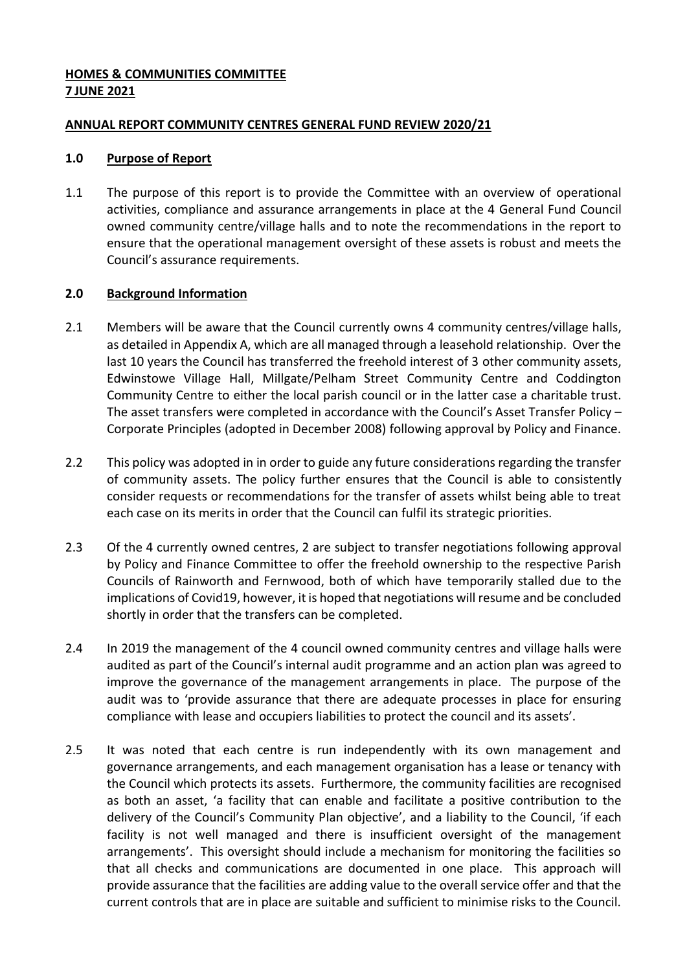## **HOMES & COMMUNITIES COMMITTEE 7 JUNE 2021**

## **ANNUAL REPORT COMMUNITY CENTRES GENERAL FUND REVIEW 2020/21**

#### **1.0 Purpose of Report**

1.1 The purpose of this report is to provide the Committee with an overview of operational activities, compliance and assurance arrangements in place at the 4 General Fund Council owned community centre/village halls and to note the recommendations in the report to ensure that the operational management oversight of these assets is robust and meets the Council's assurance requirements.

## **2.0 Background Information**

- 2.1 Members will be aware that the Council currently owns 4 community centres/village halls, as detailed in Appendix A, which are all managed through a leasehold relationship. Over the last 10 years the Council has transferred the freehold interest of 3 other community assets, Edwinstowe Village Hall, Millgate/Pelham Street Community Centre and Coddington Community Centre to either the local parish council or in the latter case a charitable trust. The asset transfers were completed in accordance with the Council's Asset Transfer Policy – Corporate Principles (adopted in December 2008) following approval by Policy and Finance.
- 2.2 This policy was adopted in in order to guide any future considerations regarding the transfer of community assets. The policy further ensures that the Council is able to consistently consider requests or recommendations for the transfer of assets whilst being able to treat each case on its merits in order that the Council can fulfil its strategic priorities.
- 2.3 Of the 4 currently owned centres, 2 are subject to transfer negotiations following approval by Policy and Finance Committee to offer the freehold ownership to the respective Parish Councils of Rainworth and Fernwood, both of which have temporarily stalled due to the implications of Covid19, however, it is hoped that negotiations will resume and be concluded shortly in order that the transfers can be completed.
- 2.4 In 2019 the management of the 4 council owned community centres and village halls were audited as part of the Council's internal audit programme and an action plan was agreed to improve the governance of the management arrangements in place. The purpose of the audit was to 'provide assurance that there are adequate processes in place for ensuring compliance with lease and occupiers liabilities to protect the council and its assets'.
- 2.5 It was noted that each centre is run independently with its own management and governance arrangements, and each management organisation has a lease or tenancy with the Council which protects its assets. Furthermore, the community facilities are recognised as both an asset, 'a facility that can enable and facilitate a positive contribution to the delivery of the Council's Community Plan objective', and a liability to the Council, 'if each facility is not well managed and there is insufficient oversight of the management arrangements'. This oversight should include a mechanism for monitoring the facilities so that all checks and communications are documented in one place. This approach will provide assurance that the facilities are adding value to the overall service offer and that the current controls that are in place are suitable and sufficient to minimise risks to the Council.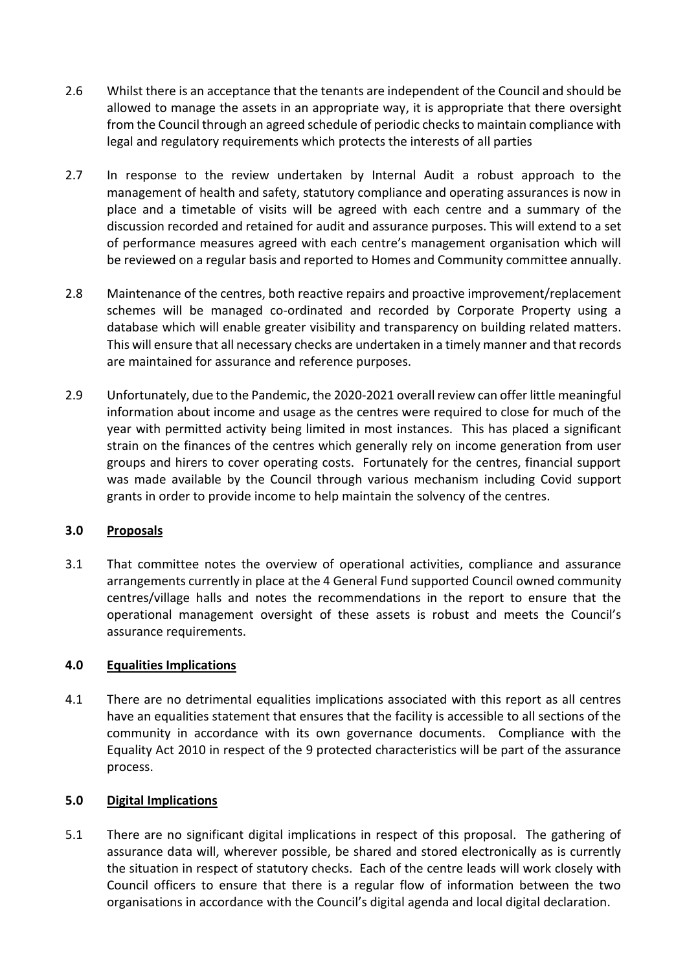- 2.6 Whilst there is an acceptance that the tenants are independent of the Council and should be allowed to manage the assets in an appropriate way, it is appropriate that there oversight from the Council through an agreed schedule of periodic checks to maintain compliance with legal and regulatory requirements which protects the interests of all parties
- 2.7 In response to the review undertaken by Internal Audit a robust approach to the management of health and safety, statutory compliance and operating assurances is now in place and a timetable of visits will be agreed with each centre and a summary of the discussion recorded and retained for audit and assurance purposes. This will extend to a set of performance measures agreed with each centre's management organisation which will be reviewed on a regular basis and reported to Homes and Community committee annually.
- 2.8 Maintenance of the centres, both reactive repairs and proactive improvement/replacement schemes will be managed co-ordinated and recorded by Corporate Property using a database which will enable greater visibility and transparency on building related matters. This will ensure that all necessary checks are undertaken in a timely manner and that records are maintained for assurance and reference purposes.
- 2.9 Unfortunately, due to the Pandemic, the 2020-2021 overall review can offer little meaningful information about income and usage as the centres were required to close for much of the year with permitted activity being limited in most instances. This has placed a significant strain on the finances of the centres which generally rely on income generation from user groups and hirers to cover operating costs. Fortunately for the centres, financial support was made available by the Council through various mechanism including Covid support grants in order to provide income to help maintain the solvency of the centres.

# **3.0 Proposals**

3.1 That committee notes the overview of operational activities, compliance and assurance arrangements currently in place at the 4 General Fund supported Council owned community centres/village halls and notes the recommendations in the report to ensure that the operational management oversight of these assets is robust and meets the Council's assurance requirements.

# **4.0 Equalities Implications**

4.1 There are no detrimental equalities implications associated with this report as all centres have an equalities statement that ensures that the facility is accessible to all sections of the community in accordance with its own governance documents. Compliance with the Equality Act 2010 in respect of the 9 protected characteristics will be part of the assurance process.

#### **5.0 Digital Implications**

5.1 There are no significant digital implications in respect of this proposal. The gathering of assurance data will, wherever possible, be shared and stored electronically as is currently the situation in respect of statutory checks. Each of the centre leads will work closely with Council officers to ensure that there is a regular flow of information between the two organisations in accordance with the Council's digital agenda and local digital declaration.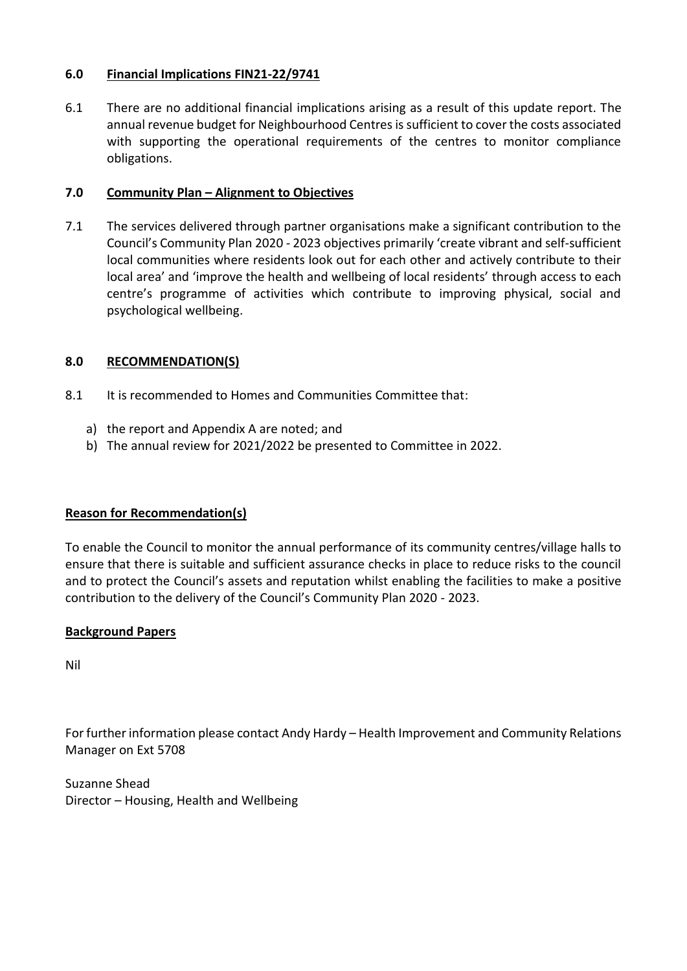## **6.0 Financial Implications FIN21-22/9741**

6.1 There are no additional financial implications arising as a result of this update report. The annual revenue budget for Neighbourhood Centres is sufficient to cover the costs associated with supporting the operational requirements of the centres to monitor compliance obligations.

## **7.0 Community Plan – Alignment to Objectives**

7.1 The services delivered through partner organisations make a significant contribution to the Council's Community Plan 2020 - 2023 objectives primarily 'create vibrant and self-sufficient local communities where residents look out for each other and actively contribute to their local area' and 'improve the health and wellbeing of local residents' through access to each centre's programme of activities which contribute to improving physical, social and psychological wellbeing.

# **8.0 RECOMMENDATION(S)**

- 8.1 It is recommended to Homes and Communities Committee that:
	- a) the report and Appendix A are noted; and
	- b) The annual review for 2021/2022 be presented to Committee in 2022.

#### **Reason for Recommendation(s)**

To enable the Council to monitor the annual performance of its community centres/village halls to ensure that there is suitable and sufficient assurance checks in place to reduce risks to the council and to protect the Council's assets and reputation whilst enabling the facilities to make a positive contribution to the delivery of the Council's Community Plan 2020 - 2023.

#### **Background Papers**

Nil

For further information please contact Andy Hardy – Health Improvement and Community Relations Manager on Ext 5708

Suzanne Shead Director – Housing, Health and Wellbeing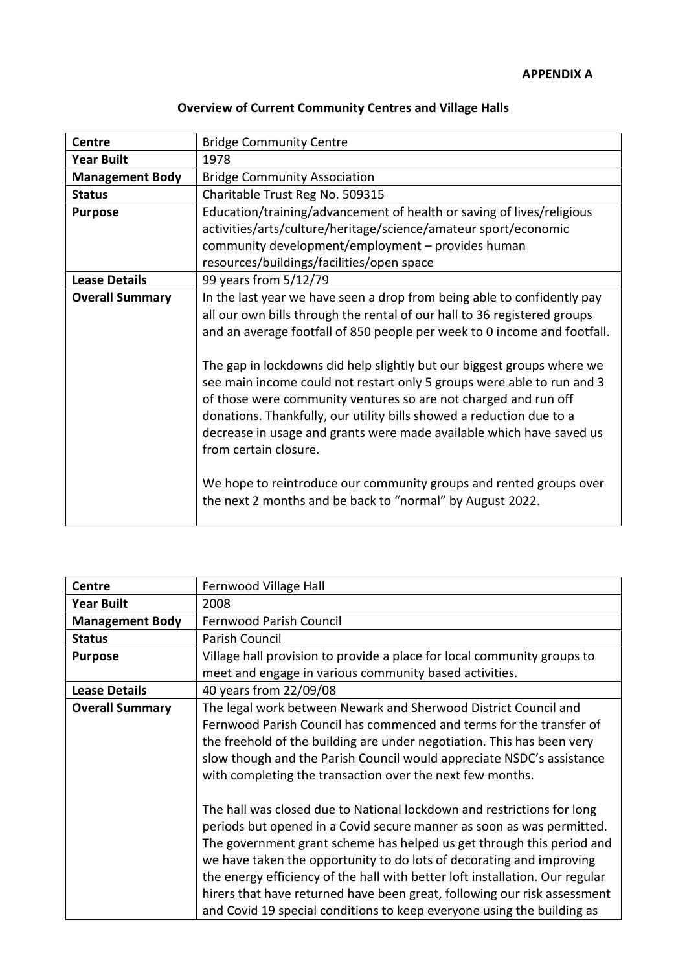| <b>Centre</b>          | <b>Bridge Community Centre</b>                                                                                                                                                                                                                                                                                                                                                                                                                                     |
|------------------------|--------------------------------------------------------------------------------------------------------------------------------------------------------------------------------------------------------------------------------------------------------------------------------------------------------------------------------------------------------------------------------------------------------------------------------------------------------------------|
| <b>Year Built</b>      | 1978                                                                                                                                                                                                                                                                                                                                                                                                                                                               |
| <b>Management Body</b> | <b>Bridge Community Association</b>                                                                                                                                                                                                                                                                                                                                                                                                                                |
| <b>Status</b>          | Charitable Trust Reg No. 509315                                                                                                                                                                                                                                                                                                                                                                                                                                    |
| <b>Purpose</b>         | Education/training/advancement of health or saving of lives/religious                                                                                                                                                                                                                                                                                                                                                                                              |
|                        | activities/arts/culture/heritage/science/amateur sport/economic                                                                                                                                                                                                                                                                                                                                                                                                    |
|                        | community development/employment - provides human                                                                                                                                                                                                                                                                                                                                                                                                                  |
|                        | resources/buildings/facilities/open space                                                                                                                                                                                                                                                                                                                                                                                                                          |
| <b>Lease Details</b>   | 99 years from 5/12/79                                                                                                                                                                                                                                                                                                                                                                                                                                              |
| <b>Overall Summary</b> | In the last year we have seen a drop from being able to confidently pay                                                                                                                                                                                                                                                                                                                                                                                            |
|                        | all our own bills through the rental of our hall to 36 registered groups                                                                                                                                                                                                                                                                                                                                                                                           |
|                        | and an average footfall of 850 people per week to 0 income and footfall.                                                                                                                                                                                                                                                                                                                                                                                           |
|                        | The gap in lockdowns did help slightly but our biggest groups where we<br>see main income could not restart only 5 groups were able to run and 3<br>of those were community ventures so are not charged and run off<br>donations. Thankfully, our utility bills showed a reduction due to a<br>decrease in usage and grants were made available which have saved us<br>from certain closure.<br>We hope to reintroduce our community groups and rented groups over |
|                        | the next 2 months and be back to "normal" by August 2022.                                                                                                                                                                                                                                                                                                                                                                                                          |

| <b>Centre</b>          | Fernwood Village Hall                                                                                                                                                                                                                                                                                                                                                                                                                                                                                                                  |
|------------------------|----------------------------------------------------------------------------------------------------------------------------------------------------------------------------------------------------------------------------------------------------------------------------------------------------------------------------------------------------------------------------------------------------------------------------------------------------------------------------------------------------------------------------------------|
| <b>Year Built</b>      | 2008                                                                                                                                                                                                                                                                                                                                                                                                                                                                                                                                   |
| <b>Management Body</b> | Fernwood Parish Council                                                                                                                                                                                                                                                                                                                                                                                                                                                                                                                |
| <b>Status</b>          | Parish Council                                                                                                                                                                                                                                                                                                                                                                                                                                                                                                                         |
| <b>Purpose</b>         | Village hall provision to provide a place for local community groups to                                                                                                                                                                                                                                                                                                                                                                                                                                                                |
|                        | meet and engage in various community based activities.                                                                                                                                                                                                                                                                                                                                                                                                                                                                                 |
| <b>Lease Details</b>   | 40 years from 22/09/08                                                                                                                                                                                                                                                                                                                                                                                                                                                                                                                 |
| <b>Overall Summary</b> | The legal work between Newark and Sherwood District Council and                                                                                                                                                                                                                                                                                                                                                                                                                                                                        |
|                        | Fernwood Parish Council has commenced and terms for the transfer of                                                                                                                                                                                                                                                                                                                                                                                                                                                                    |
|                        | the freehold of the building are under negotiation. This has been very                                                                                                                                                                                                                                                                                                                                                                                                                                                                 |
|                        | slow though and the Parish Council would appreciate NSDC's assistance                                                                                                                                                                                                                                                                                                                                                                                                                                                                  |
|                        | with completing the transaction over the next few months.                                                                                                                                                                                                                                                                                                                                                                                                                                                                              |
|                        | The hall was closed due to National lockdown and restrictions for long<br>periods but opened in a Covid secure manner as soon as was permitted.<br>The government grant scheme has helped us get through this period and<br>we have taken the opportunity to do lots of decorating and improving<br>the energy efficiency of the hall with better loft installation. Our regular<br>hirers that have returned have been great, following our risk assessment<br>and Covid 19 special conditions to keep everyone using the building as |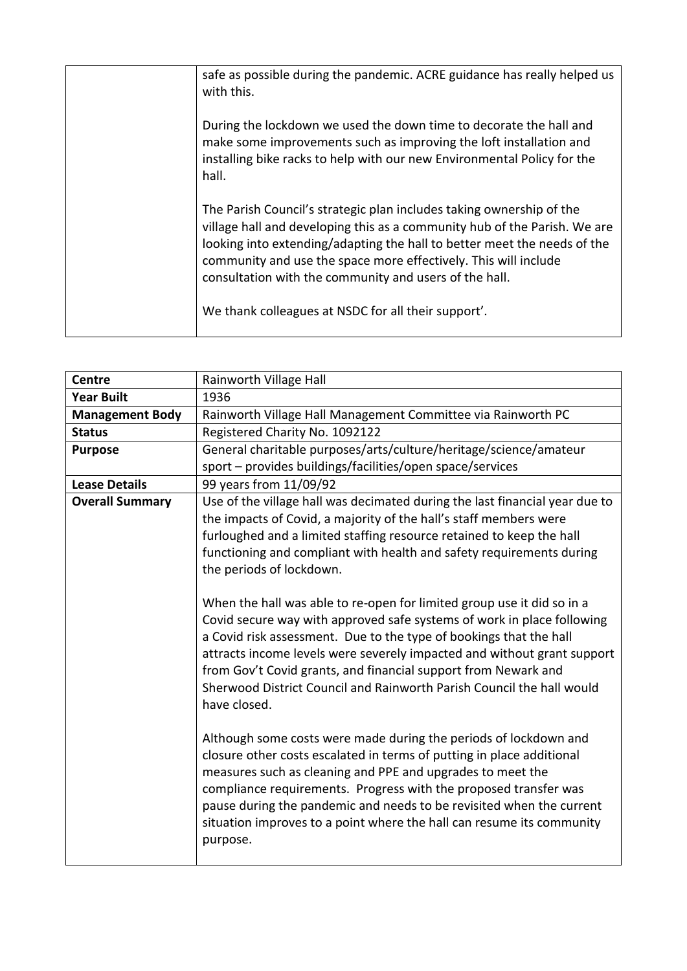| safe as possible during the pandemic. ACRE guidance has really helped us<br>with this.                                                                                                                                                                                                                                                                     |
|------------------------------------------------------------------------------------------------------------------------------------------------------------------------------------------------------------------------------------------------------------------------------------------------------------------------------------------------------------|
| During the lockdown we used the down time to decorate the hall and<br>make some improvements such as improving the loft installation and<br>installing bike racks to help with our new Environmental Policy for the<br>hall.                                                                                                                               |
| The Parish Council's strategic plan includes taking ownership of the<br>village hall and developing this as a community hub of the Parish. We are<br>looking into extending/adapting the hall to better meet the needs of the<br>community and use the space more effectively. This will include<br>consultation with the community and users of the hall. |
| We thank colleagues at NSDC for all their support'.                                                                                                                                                                                                                                                                                                        |

| <b>Centre</b>          | Rainworth Village Hall                                                                                                                                                                                                                                                                                                                                                                                                                                                                                                                                                                                                                                                                                                                                                                                                                                                                                                                                                                                                                                                                                                                                                                                                                   |
|------------------------|------------------------------------------------------------------------------------------------------------------------------------------------------------------------------------------------------------------------------------------------------------------------------------------------------------------------------------------------------------------------------------------------------------------------------------------------------------------------------------------------------------------------------------------------------------------------------------------------------------------------------------------------------------------------------------------------------------------------------------------------------------------------------------------------------------------------------------------------------------------------------------------------------------------------------------------------------------------------------------------------------------------------------------------------------------------------------------------------------------------------------------------------------------------------------------------------------------------------------------------|
| <b>Year Built</b>      | 1936                                                                                                                                                                                                                                                                                                                                                                                                                                                                                                                                                                                                                                                                                                                                                                                                                                                                                                                                                                                                                                                                                                                                                                                                                                     |
| <b>Management Body</b> | Rainworth Village Hall Management Committee via Rainworth PC                                                                                                                                                                                                                                                                                                                                                                                                                                                                                                                                                                                                                                                                                                                                                                                                                                                                                                                                                                                                                                                                                                                                                                             |
| <b>Status</b>          | Registered Charity No. 1092122                                                                                                                                                                                                                                                                                                                                                                                                                                                                                                                                                                                                                                                                                                                                                                                                                                                                                                                                                                                                                                                                                                                                                                                                           |
| <b>Purpose</b>         | General charitable purposes/arts/culture/heritage/science/amateur                                                                                                                                                                                                                                                                                                                                                                                                                                                                                                                                                                                                                                                                                                                                                                                                                                                                                                                                                                                                                                                                                                                                                                        |
|                        | sport - provides buildings/facilities/open space/services                                                                                                                                                                                                                                                                                                                                                                                                                                                                                                                                                                                                                                                                                                                                                                                                                                                                                                                                                                                                                                                                                                                                                                                |
| <b>Lease Details</b>   | 99 years from 11/09/92                                                                                                                                                                                                                                                                                                                                                                                                                                                                                                                                                                                                                                                                                                                                                                                                                                                                                                                                                                                                                                                                                                                                                                                                                   |
| <b>Overall Summary</b> | Use of the village hall was decimated during the last financial year due to<br>the impacts of Covid, a majority of the hall's staff members were<br>furloughed and a limited staffing resource retained to keep the hall<br>functioning and compliant with health and safety requirements during<br>the periods of lockdown.<br>When the hall was able to re-open for limited group use it did so in a<br>Covid secure way with approved safe systems of work in place following<br>a Covid risk assessment. Due to the type of bookings that the hall<br>attracts income levels were severely impacted and without grant support<br>from Gov't Covid grants, and financial support from Newark and<br>Sherwood District Council and Rainworth Parish Council the hall would<br>have closed.<br>Although some costs were made during the periods of lockdown and<br>closure other costs escalated in terms of putting in place additional<br>measures such as cleaning and PPE and upgrades to meet the<br>compliance requirements. Progress with the proposed transfer was<br>pause during the pandemic and needs to be revisited when the current<br>situation improves to a point where the hall can resume its community<br>purpose. |